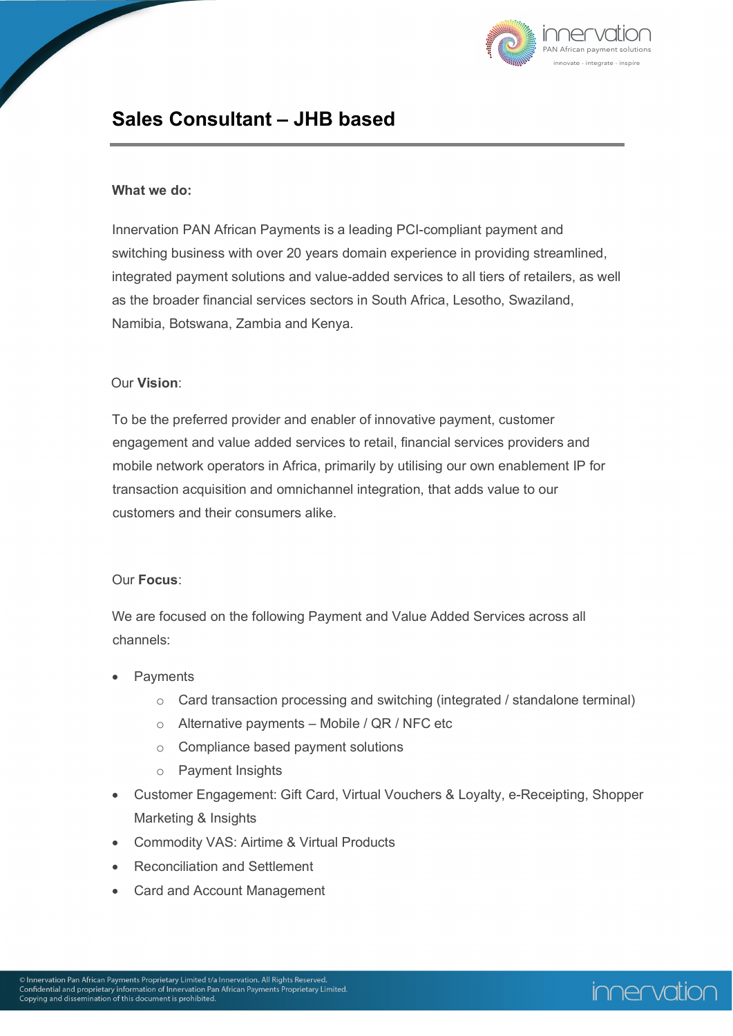

## **Sales Consultant – JHB based**

#### **What we do:**

Innervation PAN African Payments is a leading PCI-compliant payment and switching business with over 20 years domain experience in providing streamlined, integrated payment solutions and value-added services to all tiers of retailers, as well as the broader financial services sectors in South Africa, Lesotho, Swaziland, Namibia, Botswana, Zambia and Kenya.

#### Our **Vision**:

To be the preferred provider and enabler of innovative payment, customer engagement and value added services to retail, financial services providers and mobile network operators in Africa, primarily by utilising our own enablement IP for transaction acquisition and omnichannel integration, that adds value to our customers and their consumers alike.

#### Our **Focus**:

We are focused on the following Payment and Value Added Services across all channels:

- **Payments** 
	- o Card transaction processing and switching (integrated / standalone terminal)
	- o Alternative payments Mobile / QR / NFC etc
	- o Compliance based payment solutions
	- o Payment Insights
- Customer Engagement: Gift Card, Virtual Vouchers & Loyalty, e-Receipting, Shopper Marketing & Insights
- Commodity VAS: Airtime & Virtual Products
- Reconciliation and Settlement
- Card and Account Management

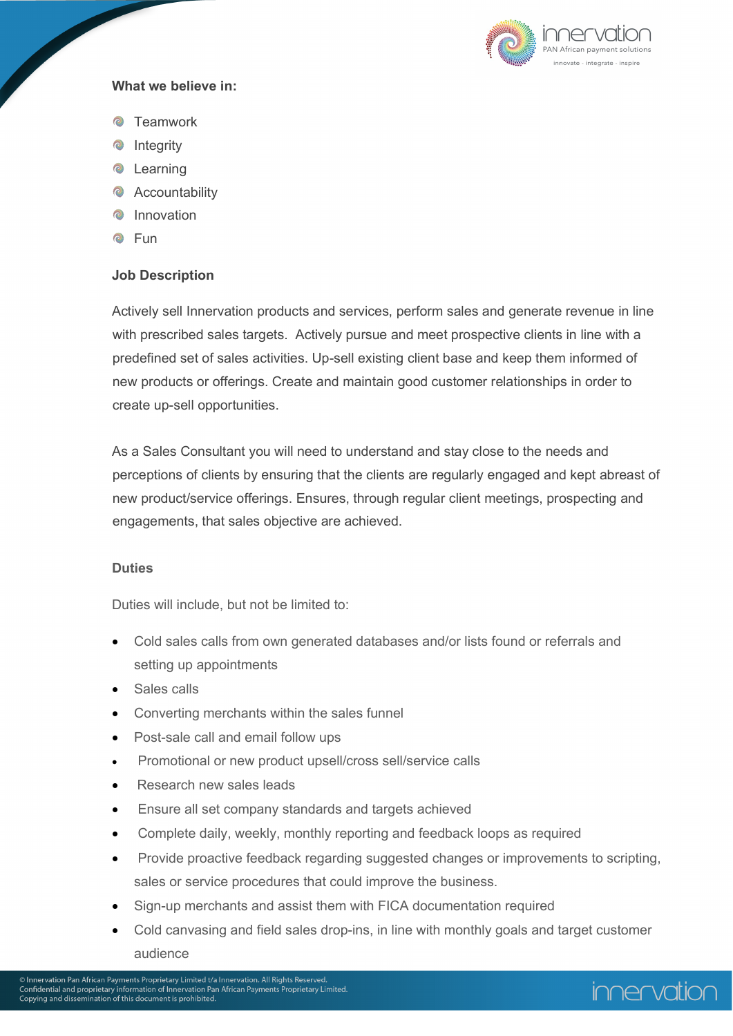

### **What we believe in:**

- **Teamwork**
- **O** Integrity
- **•** Learning
- Accountability
- **C** Innovation
- **C** Fun

### **Job Description**

Actively sell Innervation products and services, perform sales and generate revenue in line with prescribed sales targets. Actively pursue and meet prospective clients in line with a predefined set of sales activities. Up-sell existing client base and keep them informed of new products or offerings. Create and maintain good customer relationships in order to create up-sell opportunities.

As a Sales Consultant you will need to understand and stay close to the needs and perceptions of clients by ensuring that the clients are regularly engaged and kept abreast of new product/service offerings. Ensures, through regular client meetings, prospecting and engagements, that sales objective are achieved.

#### **Duties**

Duties will include, but not be limited to:

- Cold sales calls from own generated databases and/or lists found or referrals and setting up appointments
- Sales calls
- Converting merchants within the sales funnel
- Post-sale call and email follow ups
- Promotional or new product upsell/cross sell/service calls
- Research new sales leads
- Ensure all set company standards and targets achieved
- Complete daily, weekly, monthly reporting and feedback loops as required
- Provide proactive feedback regarding suggested changes or improvements to scripting, sales or service procedures that could improve the business.
- Sign-up merchants and assist them with FICA documentation required
- Cold canvasing and field sales drop-ins, in line with monthly goals and target customer audience

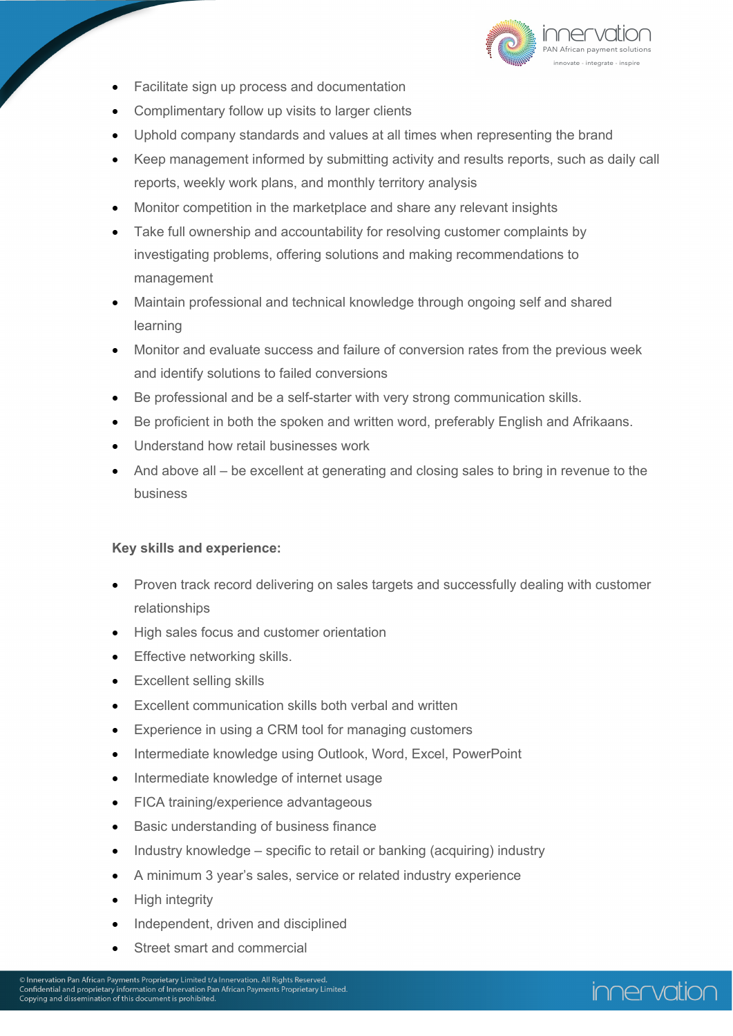

- Facilitate sign up process and documentation
- Complimentary follow up visits to larger clients
- Uphold company standards and values at all times when representing the brand
- Keep management informed by submitting activity and results reports, such as daily call reports, weekly work plans, and monthly territory analysis
- Monitor competition in the marketplace and share any relevant insights
- Take full ownership and accountability for resolving customer complaints by investigating problems, offering solutions and making recommendations to management
- Maintain professional and technical knowledge through ongoing self and shared learning
- Monitor and evaluate success and failure of conversion rates from the previous week and identify solutions to failed conversions
- Be professional and be a self-starter with very strong communication skills.
- Be proficient in both the spoken and written word, preferably English and Afrikaans.
- Understand how retail businesses work
- And above all be excellent at generating and closing sales to bring in revenue to the business

#### **Key skills and experience:**

- Proven track record delivering on sales targets and successfully dealing with customer relationships
- High sales focus and customer orientation
- Effective networking skills.
- Excellent selling skills
- Excellent communication skills both verbal and written
- Experience in using a CRM tool for managing customers
- Intermediate knowledge using Outlook, Word, Excel, PowerPoint
- Intermediate knowledge of internet usage
- FICA training/experience advantageous
- Basic understanding of business finance
- Industry knowledge specific to retail or banking (acquiring) industry
- A minimum 3 year's sales, service or related industry experience
- High integrity
- Independent, driven and disciplined
- Street smart and commercial

# innervation